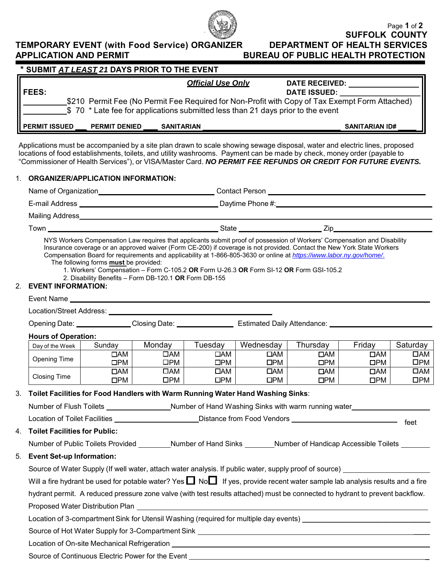

## **TEMPORARY EVENT (with Food Service) ORGANIZER<br>APPLICATION AND PERMIT**

|                                                                                                                                                                                                                                                                                                                                                                      |                                                                                                       | * SUBMIT AT LEAST 21 DAYS PRIOR TO THE EVENT |                                                                                                                                                                                                                                    |                           |                            |                           |                           |
|----------------------------------------------------------------------------------------------------------------------------------------------------------------------------------------------------------------------------------------------------------------------------------------------------------------------------------------------------------------------|-------------------------------------------------------------------------------------------------------|----------------------------------------------|------------------------------------------------------------------------------------------------------------------------------------------------------------------------------------------------------------------------------------|---------------------------|----------------------------|---------------------------|---------------------------|
|                                                                                                                                                                                                                                                                                                                                                                      |                                                                                                       |                                              | <b>Official Use Only</b>                                                                                                                                                                                                           |                           | DATE RECEIVED: ___________ |                           |                           |
| <b>FEES:</b>                                                                                                                                                                                                                                                                                                                                                         |                                                                                                       |                                              |                                                                                                                                                                                                                                    |                           | DATE ISSUED:               |                           |                           |
|                                                                                                                                                                                                                                                                                                                                                                      |                                                                                                       |                                              | \$210 Permit Fee (No Permit Fee Required for Non-Profit with Copy of Tax Exempt Form Attached)                                                                                                                                     |                           |                            |                           |                           |
|                                                                                                                                                                                                                                                                                                                                                                      |                                                                                                       |                                              | \$70 * Late fee for applications submitted less than 21 days prior to the event                                                                                                                                                    |                           |                            |                           |                           |
| PERMIT ISSUED _                                                                                                                                                                                                                                                                                                                                                      |                                                                                                       | PERMIT DENIED _____ SANITARIAN               |                                                                                                                                                                                                                                    |                           |                            | <b>SANITARIAN ID#</b>     |                           |
| Applications must be accompanied by a site plan drawn to scale showing sewage disposal, water and electric lines, proposed<br>locations of food establishments, toilets, and utility washrooms. Payment can be made by check, money order (payable to<br>"Commissioner of Health Services"), or VISA/Master Card. NO PERMIT FEE REFUNDS OR CREDIT FOR FUTURE EVENTS. |                                                                                                       |                                              |                                                                                                                                                                                                                                    |                           |                            |                           |                           |
| 1. ORGANIZER/APPLICATION INFORMATION:                                                                                                                                                                                                                                                                                                                                |                                                                                                       |                                              |                                                                                                                                                                                                                                    |                           |                            |                           |                           |
|                                                                                                                                                                                                                                                                                                                                                                      |                                                                                                       |                                              | Name of Organization________________________________Contact Person ______________                                                                                                                                                  |                           |                            |                           |                           |
|                                                                                                                                                                                                                                                                                                                                                                      |                                                                                                       |                                              |                                                                                                                                                                                                                                    |                           |                            |                           |                           |
|                                                                                                                                                                                                                                                                                                                                                                      |                                                                                                       |                                              |                                                                                                                                                                                                                                    |                           |                            |                           |                           |
|                                                                                                                                                                                                                                                                                                                                                                      |                                                                                                       |                                              | Town 2008 Contract to the Contract of State Contract of State 2008 Contract of State Contract of State Contract of State Contract of State Contract of State Contract of State Contract of State Contract of State Contract of     |                           |                            |                           |                           |
| <b>EVENT INFORMATION:</b><br>2.                                                                                                                                                                                                                                                                                                                                      | The following forms <b>must</b> be provided:<br>2. Disability Benefits - Form DB-120.1 OR Form DB-155 |                                              | Compensation Board for requirements and applicability at 1-866-805-3630 or online at https://www.labor.ny.gov/home/.<br>1. Workers' Compensation - Form C-105.2 OR Form U-26.3 OR Form SI-12 OR Form GSI-105.2                     |                           |                            |                           |                           |
|                                                                                                                                                                                                                                                                                                                                                                      |                                                                                                       |                                              |                                                                                                                                                                                                                                    |                           |                            |                           |                           |
|                                                                                                                                                                                                                                                                                                                                                                      |                                                                                                       |                                              |                                                                                                                                                                                                                                    |                           |                            |                           |                           |
|                                                                                                                                                                                                                                                                                                                                                                      |                                                                                                       |                                              | Opening Date: Closing Date: Closing Date: Estimated Daily Attendance:                                                                                                                                                              |                           |                            |                           |                           |
| <b>Hours of Operation:</b>                                                                                                                                                                                                                                                                                                                                           |                                                                                                       |                                              |                                                                                                                                                                                                                                    |                           |                            |                           |                           |
| Day of the Week                                                                                                                                                                                                                                                                                                                                                      | Sunday                                                                                                | Monday                                       | Tuesday                                                                                                                                                                                                                            | Wednesday                 | Thursday                   | Friday                    | Saturday                  |
| <b>Opening Time</b>                                                                                                                                                                                                                                                                                                                                                  | $\Box$ AM<br>$\square$ PM                                                                             | $\Box AM$<br>$\square$ PM                    | $\Box$ AM<br>$\square$ PM                                                                                                                                                                                                          | $\Box$ AM<br>$\square$ PM | $\Box AM$<br>$\square PM$  | $\Box AM$<br>$\square$ PM | □АМ<br>$\square$ PM       |
|                                                                                                                                                                                                                                                                                                                                                                      | $\Box AM$                                                                                             |                                              |                                                                                                                                                                                                                                    |                           |                            |                           |                           |
|                                                                                                                                                                                                                                                                                                                                                                      |                                                                                                       |                                              |                                                                                                                                                                                                                                    |                           |                            |                           |                           |
| <b>Closing Time</b>                                                                                                                                                                                                                                                                                                                                                  | DPM                                                                                                   | $\Box AM$<br>$\square$ PM                    | $\Box AM$<br>$\square PM$                                                                                                                                                                                                          | $\Box AM$<br>$\square PM$ | $\Box AM$<br>DPM           | $\Box AM$<br>$\square$ PM | $\Box$ AM<br>$\square$ PM |
|                                                                                                                                                                                                                                                                                                                                                                      |                                                                                                       |                                              |                                                                                                                                                                                                                                    |                           |                            |                           |                           |
|                                                                                                                                                                                                                                                                                                                                                                      |                                                                                                       |                                              |                                                                                                                                                                                                                                    |                           |                            |                           |                           |
|                                                                                                                                                                                                                                                                                                                                                                      |                                                                                                       |                                              | Number of Flush Toilets ________________Number of Hand Washing Sinks with warm running water_________________                                                                                                                      |                           |                            |                           |                           |
| 3. Toilet Facilities for Food Handlers with Warm Running Water Hand Washing Sinks:                                                                                                                                                                                                                                                                                   |                                                                                                       |                                              |                                                                                                                                                                                                                                    |                           |                            |                           |                           |
|                                                                                                                                                                                                                                                                                                                                                                      |                                                                                                       |                                              | Number of Public Toilets Provided ________Number of Hand Sinks _______Number of Handicap Accessible Toilets _______                                                                                                                |                           |                            |                           |                           |
|                                                                                                                                                                                                                                                                                                                                                                      |                                                                                                       |                                              |                                                                                                                                                                                                                                    |                           |                            |                           |                           |
|                                                                                                                                                                                                                                                                                                                                                                      |                                                                                                       |                                              | Source of Water Supply (If well water, attach water analysis. If public water, supply proof of source) _____________                                                                                                               |                           |                            |                           |                           |
|                                                                                                                                                                                                                                                                                                                                                                      |                                                                                                       |                                              | Will a fire hydrant be used for potable water? Yes $\Box$ No $\Box$ If yes, provide recent water sample lab analysis results and a fire                                                                                            |                           |                            |                           |                           |
| 4. Toilet Facilities for Public:<br>5. Event Set-up Information:                                                                                                                                                                                                                                                                                                     |                                                                                                       |                                              |                                                                                                                                                                                                                                    |                           |                            |                           |                           |
|                                                                                                                                                                                                                                                                                                                                                                      |                                                                                                       |                                              | hydrant permit. A reduced pressure zone valve (with test results attached) must be connected to hydrant to prevent backflow.                                                                                                       |                           |                            |                           |                           |
|                                                                                                                                                                                                                                                                                                                                                                      |                                                                                                       |                                              |                                                                                                                                                                                                                                    |                           |                            |                           |                           |
|                                                                                                                                                                                                                                                                                                                                                                      |                                                                                                       |                                              | Location of 3-compartment Sink for Utensil Washing (required for multiple day events) _________________________<br>Source of Hot Water Supply for 3-Compartment Sink [1945] [2010] [2010] [2010] [2010] [2010] [2010] [2010] [2010 |                           |                            |                           |                           |

Source of Continuous Electric Power for the Event